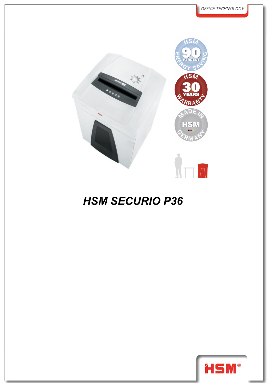

## *HSM SECURIO P36*

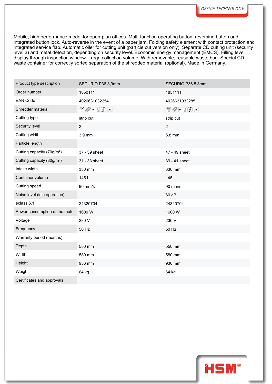Mobile, high performance model for open-plan offices. Multi-function operating button, reversing button and integrated button lock. Auto-reverse in the event of a paper jam. Folding safety element with contact protection and integrated service flap. Automatic oiler for cutting unit (particle cut version only). Separate CD cutting unit (security level 3) and metal detection, depending on security level. Economic energy management (EMCS). Filling level display through inspection window. Large collection volume. With removable, reusable waste bag. Special CD waste container for correctly sorted separation of the shredded material (optional). Made in Germany.

| Product type description               | SECURIO P36 3,9mm               | SECURIO P36 5,8mm                                                                                                                                                                                                                                                                                                                                   |
|----------------------------------------|---------------------------------|-----------------------------------------------------------------------------------------------------------------------------------------------------------------------------------------------------------------------------------------------------------------------------------------------------------------------------------------------------|
| Order number                           | 1850111                         | 1851111                                                                                                                                                                                                                                                                                                                                             |
| <b>EAN Code</b>                        | 4026631032254                   | 4026631032285                                                                                                                                                                                                                                                                                                                                       |
| Shredder material                      | $\Box\oslash$ - $\Box\oslash$ - | $\begin{picture}(15,10) \put(0,0){\line(1,0){10}} \put(15,0){\line(1,0){10}} \put(15,0){\line(1,0){10}} \put(15,0){\line(1,0){10}} \put(15,0){\line(1,0){10}} \put(15,0){\line(1,0){10}} \put(15,0){\line(1,0){10}} \put(15,0){\line(1,0){10}} \put(15,0){\line(1,0){10}} \put(15,0){\line(1,0){10}} \put(15,0){\line(1,0){10}} \put(15,0){\line(1$ |
| Cutting type                           | strip cut                       | strip cut                                                                                                                                                                                                                                                                                                                                           |
| Security level                         | $\overline{2}$                  | $\overline{2}$                                                                                                                                                                                                                                                                                                                                      |
| Cutting width                          | 3.9 mm                          | 5.8 mm                                                                                                                                                                                                                                                                                                                                              |
| Particle length                        |                                 |                                                                                                                                                                                                                                                                                                                                                     |
| Cutting capacity (70g/m <sup>2</sup> ) | 37 - 39 sheet                   | 47 - 49 sheet                                                                                                                                                                                                                                                                                                                                       |
| Cutting capacity (80g/m <sup>2</sup> ) | 31 - 33 sheet                   | 39 - 41 sheet                                                                                                                                                                                                                                                                                                                                       |
| Intake width                           | 330 mm                          | 330 mm                                                                                                                                                                                                                                                                                                                                              |
| Container volume                       | 1451                            | 1451                                                                                                                                                                                                                                                                                                                                                |
| Cutting speed                          | 90 mm/s                         | 90 mm/s                                                                                                                                                                                                                                                                                                                                             |
| Noise level (idle operation)           |                                 | 60 dB                                                                                                                                                                                                                                                                                                                                               |
| eclass 5.1                             | 24320704                        | 24320704                                                                                                                                                                                                                                                                                                                                            |
| Power consumption of the motor 1600 W  |                                 | 1600 W                                                                                                                                                                                                                                                                                                                                              |
| Voltage                                | 230 V                           | 230 V                                                                                                                                                                                                                                                                                                                                               |
| Frequency                              | 50 Hz                           | 50 Hz                                                                                                                                                                                                                                                                                                                                               |
| Warranty period (months)               |                                 |                                                                                                                                                                                                                                                                                                                                                     |
| Depth                                  | 550 mm                          | 550 mm                                                                                                                                                                                                                                                                                                                                              |
| Width                                  | 580 mm                          | 580 mm                                                                                                                                                                                                                                                                                                                                              |
| Height                                 | 936 mm                          | 936 mm                                                                                                                                                                                                                                                                                                                                              |
| Weight                                 | 64 kg                           | 64 kg                                                                                                                                                                                                                                                                                                                                               |
| Certificates and approvals             |                                 |                                                                                                                                                                                                                                                                                                                                                     |

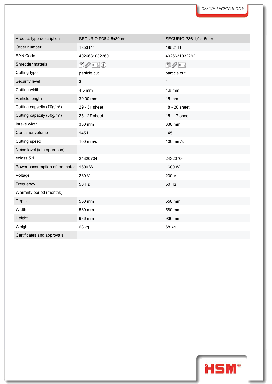| Product type description               | SECURIO P36 4,5x30mm                               | SECURIO P36 1,9x15mm    |
|----------------------------------------|----------------------------------------------------|-------------------------|
| Order number                           | 1853111                                            | 1852111                 |
| <b>EAN Code</b>                        | 4026631032360                                      | 4026631032292           |
| Shredder material                      | $\mathbb{D} \mathscr{O}$ - $\mathbb{F} \mathbb{Q}$ | $\mathbb{D}Q$ - 5       |
| Cutting type                           | particle cut                                       | particle cut            |
| Security level                         | 3                                                  | $\overline{\mathbf{4}}$ |
| Cutting width                          | 4.5 mm                                             | $1.9$ mm                |
| Particle length                        | 30,00 mm                                           | $15 \text{ mm}$         |
| Cutting capacity (70g/m <sup>2</sup> ) | 29 - 31 sheet                                      | 18 - 20 sheet           |
| Cutting capacity (80g/m <sup>2</sup> ) | 25 - 27 sheet                                      | 15 - 17 sheet           |
| Intake width                           | 330 mm                                             | 330 mm                  |
| Container volume                       | 145                                                | 1451                    |
| Cutting speed                          | 100 mm/s                                           | 100 mm/s                |
| Noise level (idle operation)           |                                                    |                         |
| eclass 5.1                             | 24320704                                           | 24320704                |
| Power consumption of the motor         | 1600 W                                             | 1600W                   |
| Voltage                                | 230 V                                              | 230 V                   |
| Frequency                              | 50 Hz                                              | 50 Hz                   |
| Warranty period (months)               |                                                    |                         |
| Depth                                  | 550 mm                                             | 550 mm                  |
| Width                                  | 580 mm                                             | 580 mm                  |
| Height                                 | 936 mm                                             | 936 mm                  |
| Weight                                 | 68 kg                                              | 68 kg                   |
| Certificates and approvals             |                                                    |                         |

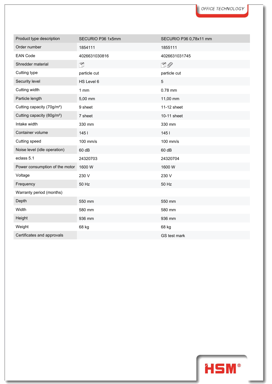| Product type description               | SECURIO P36 1x5mm | SECURIO P36 0,78x11 mm |
|----------------------------------------|-------------------|------------------------|
| Order number                           | 1854111           | 1855111                |
| <b>EAN Code</b>                        | 4026631030816     | 4026631031745          |
| Shredder material                      | n.                | $\Box Q$               |
| Cutting type                           | particle cut      | particle cut           |
| Security level                         | HS Level 6        | 5                      |
| Cutting width                          | 1mm               | 0.78 mm                |
| Particle length                        | 5,00 mm           | 11,00 mm               |
| Cutting capacity (70g/m <sup>2</sup> ) | 9 sheet           | 11-12 sheet            |
| Cutting capacity (80g/m <sup>2</sup> ) | 7 sheet           | 10-11 sheet            |
| Intake width                           | 330 mm            | 330 mm                 |
| Container volume                       | 1451              | 1451                   |
| Cutting speed                          | 100 mm/s          | 100 mm/s               |
| Noise level (idle operation)           | 60 dB             | 60 dB                  |
| eclass 5.1                             | 24320703          | 24320704               |
| Power consumption of the motor         | 1600 W            | 1600 W                 |
| Voltage                                | 230 V             | 230 V                  |
| Frequency                              | 50 Hz             | 50 Hz                  |
| Warranty period (months)               |                   |                        |
| Depth                                  | 550 mm            | 550 mm                 |
| Width                                  | 580 mm            | 580 mm                 |
| Height                                 | 936 mm            | 936 mm                 |
| Weight                                 | 68 kg             | 68 kg                  |
| Certificates and approvals             |                   | GS test mark           |

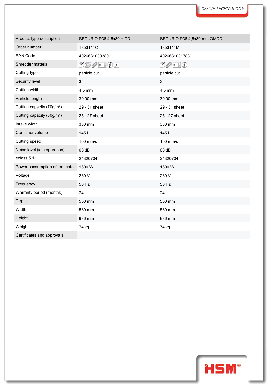| Product type description               | SECURIO P36 4,5x30 + CD | SECURIO P36 4,5x30 mm OMDD                       |
|----------------------------------------|-------------------------|--------------------------------------------------|
| Order number                           | 1853111C                | 1853111M                                         |
| <b>EAN Code</b>                        | 4026631030380           | 4026631031783                                    |
| Shredder material                      | 050 - 10 -              | $\mathbb{D}\mathscr{O}$ - $\mathbb{I}\mathbb{O}$ |
| Cutting type                           | particle cut            | particle cut                                     |
| Security level                         | $\mathfrak{S}$          | $\mathbf{3}$                                     |
| Cutting width                          | 4.5 mm                  | 4.5 mm                                           |
| Particle length                        | 30,00 mm                | 30,00 mm                                         |
| Cutting capacity (70g/m <sup>2</sup> ) | 29 - 31 sheet           | 29 - 31 sheet                                    |
| Cutting capacity (80g/m <sup>2</sup> ) | 25 - 27 sheet           | 25 - 27 sheet                                    |
| Intake width                           | 330 mm                  | 330 mm                                           |
| Container volume                       | 145                     | 1451                                             |
| Cutting speed                          | 100 mm/s                | 100 mm/s                                         |
| Noise level (idle operation)           | 60 dB                   | 60 dB                                            |
| eclass 5.1                             | 24320704                | 24320704                                         |
| Power consumption of the motor         | 1600 W                  | 1600 W                                           |
| Voltage                                | 230 V                   | 230 V                                            |
| Frequency                              | 50 Hz                   | 50 Hz                                            |
| Warranty period (months)               | 24                      | 24                                               |
| Depth                                  | 550 mm                  | 550 mm                                           |
| Width                                  | 580 mm                  | 580 mm                                           |
| Height                                 | 936 mm                  | 936 mm                                           |
| Weight                                 | 74 kg                   | 74 kg                                            |
| Certificates and approvals             |                         |                                                  |



I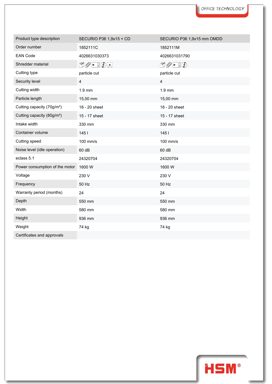| Product type description               | SECURIO P36 1,9x15 + CD         | SECURIO P36 1,9x15 mm OMDD                       |
|----------------------------------------|---------------------------------|--------------------------------------------------|
| Order number                           | 1852111C                        | 1852111M                                         |
| <b>EAN Code</b>                        | 4026631030373                   | 4026631031790                                    |
| Shredder material                      | $\mathbb{O}Q$ - $\mathbb{I}Q$ - | $\mathbb{D}\mathscr{O}$ - $\mathbb{I}\mathbb{O}$ |
| Cutting type                           | particle cut                    | particle cut                                     |
| Security level                         | $\overline{\mathbf{4}}$         | $\overline{\mathbf{4}}$                          |
| Cutting width                          | $1.9$ mm                        | $1.9$ mm                                         |
| Particle length                        | 15,00 mm                        | 15,00 mm                                         |
| Cutting capacity (70g/m <sup>2</sup> ) | 18 - 20 sheet                   | 18 - 20 sheet                                    |
| Cutting capacity (80g/m <sup>2</sup> ) | 15 - 17 sheet                   | 15 - 17 sheet                                    |
| Intake width                           | 330 mm                          | 330 mm                                           |
| Container volume                       | 145                             | 1451                                             |
| Cutting speed                          | 100 mm/s                        | 100 mm/s                                         |
| Noise level (idle operation)           | 60 dB                           | 60 dB                                            |
| eclass 5.1                             | 24320704                        | 24320704                                         |
| Power consumption of the motor         | 1600 W                          | 1600 W                                           |
| Voltage                                | 230 V                           | 230 V                                            |
| Frequency                              | 50 Hz                           | 50 Hz                                            |
| Warranty period (months)               | 24                              | 24                                               |
| Depth                                  | 550 mm                          | 550 mm                                           |
| Width                                  | 580 mm                          | 580 mm                                           |
| Height                                 | 936 mm                          | 936 mm                                           |
| Weight                                 | 74 kg                           | 74 kg                                            |
| Certificates and approvals             |                                 |                                                  |



I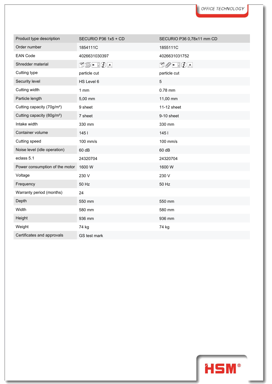| Product type description               | SECURIO P36 1x5 + CD | SECURIO P36 0,78x11 mm CD                     |
|----------------------------------------|----------------------|-----------------------------------------------|
| Order number                           | 1854111C             | 1855111C                                      |
| <b>EAN Code</b>                        | 4026631030397        | 4026631031752                                 |
| Shredder material                      | N≶•!⊙A               | $\Box \oslash \bullet \ \Box \oslash \bullet$ |
| Cutting type                           | particle cut         | particle cut                                  |
| Security level                         | HS Level 6           | 5                                             |
| Cutting width                          | 1mm                  | 0.78 mm                                       |
| Particle length                        | 5,00 mm              | 11,00 mm                                      |
| Cutting capacity (70g/m <sup>2</sup> ) | 9 sheet              | 11-12 sheet                                   |
| Cutting capacity (80g/m <sup>2</sup> ) | 7 sheet              | 9-10 sheet                                    |
| Intake width                           | 330 mm               | 330 mm                                        |
| Container volume                       | 1451                 | 1451                                          |
| Cutting speed                          | 100 mm/s             | 100 mm/s                                      |
| Noise level (idle operation)           | 60 dB                | 60 dB                                         |
| eclass 5.1                             | 24320704             | 24320704                                      |
| Power consumption of the motor         | 1600W                | 1600W                                         |
| Voltage                                | 230 V                | 230 V                                         |
| Frequency                              | 50 Hz                | 50 Hz                                         |
| Warranty period (months)               | 24                   |                                               |
| Depth                                  | 550 mm               | 550 mm                                        |
| Width                                  | 580 mm               | 580 mm                                        |
| Height                                 | 936 mm               | 936 mm                                        |
| Weight                                 | 74 kg                | 74 kg                                         |
| Certificates and approvals             | GS test mark         |                                               |

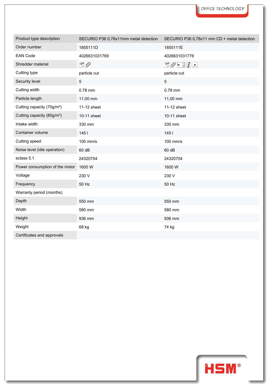| Product type description               | SECURIO P36 0,78x11mm metal detection | SECURIO P36 0,78x11 mm CD + metal detection |
|----------------------------------------|---------------------------------------|---------------------------------------------|
| Order number                           | 1855111D                              | 1855111E                                    |
| <b>EAN Code</b>                        | 4026631031769                         | 4026631031776                               |
| Shredder material                      | $\Box$                                | 00 - 01                                     |
| Cutting type                           | particle cut                          | particle cut                                |
| Security level                         | $5\,$                                 | 5                                           |
| Cutting width                          | 0.78 mm                               | 0.78 mm                                     |
| Particle length                        | 11,00 mm                              | 11,00 mm                                    |
| Cutting capacity (70g/m <sup>2</sup> ) | 11-12 sheet                           | 11-12 sheet                                 |
| Cutting capacity (80g/m <sup>2</sup> ) | 10-11 sheet                           | 10-11 sheet                                 |
| Intake width                           | 330 mm                                | 330 mm                                      |
| Container volume                       | 1451                                  | 145                                         |
| Cutting speed                          | 100 mm/s                              | 100 mm/s                                    |
| Noise level (idle operation)           | 60 dB                                 | 60 dB                                       |
| eclass 5.1                             | 24320704                              | 24320704                                    |
| Power consumption of the motor         | 1600W                                 | 1600W                                       |
| Voltage                                | 230 V                                 | 230 V                                       |
| Frequency                              | 50 Hz                                 | 50 Hz                                       |
| Warranty period (months)               |                                       |                                             |
| Depth                                  | 550 mm                                | 550 mm                                      |
| Width                                  | 580 mm                                | 580 mm                                      |
| Height                                 | 936 mm                                | 936 mm                                      |
| Weight                                 | 68 kg                                 | 74 kg                                       |
| Certificates and approvals             |                                       |                                             |



ı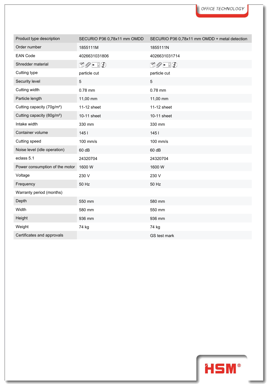| Product type description               | SECURIO P36 0,78x11 mm OMDD                      | SECURIO P36 0,78x11 mm OMDD + metal detection |
|----------------------------------------|--------------------------------------------------|-----------------------------------------------|
| Order number                           | 1855111M                                         | 1855111N                                      |
| <b>EAN Code</b>                        | 4026631031806                                    | 4026631031714                                 |
| Shredder material                      | $\mathbb{D}\mathscr{O}$ - $\mathbb{F}\mathbb{O}$ | 00 - 10                                       |
| Cutting type                           | particle cut                                     | particle cut                                  |
| Security level                         | $\sqrt{5}$                                       | 5                                             |
| Cutting width                          | 0.78 mm                                          | 0.78 mm                                       |
| Particle length                        | 11,00 mm                                         | 11,00 mm                                      |
| Cutting capacity (70g/m <sup>2</sup> ) | 11-12 sheet                                      | 11-12 sheet                                   |
| Cutting capacity (80g/m <sup>2</sup> ) | 10-11 sheet                                      | 10-11 sheet                                   |
| Intake width                           | 330 mm                                           | 330 mm                                        |
| Container volume                       | 1451                                             | 1451                                          |
| Cutting speed                          | 100 mm/s                                         | 100 mm/s                                      |
| Noise level (idle operation)           | 60 dB                                            | 60 dB                                         |
| eclass 5.1                             | 24320704                                         | 24320704                                      |
| Power consumption of the motor         | 1600 W                                           | 1600W                                         |
| Voltage                                | 230 V                                            | 230 V                                         |
| Frequency                              | 50 Hz                                            | 50 Hz                                         |
| Warranty period (months)               |                                                  |                                               |
| Depth                                  | 550 mm                                           | 580 mm                                        |
| Width                                  | 580 mm                                           | 550 mm                                        |
| Height                                 | 936 mm                                           | 936 mm                                        |
| Weight                                 | 74 kg                                            | 74 kg                                         |
| Certificates and approvals             |                                                  | GS test mark                                  |

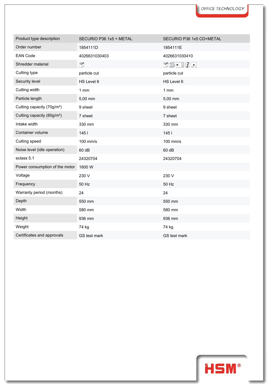| Product type description               | SECURIO P36 1x5 + METAL | SECURIO P36 1x5 CD+METAL |
|----------------------------------------|-------------------------|--------------------------|
| Order number                           | 1854111D                | 1854111E                 |
| <b>EAN Code</b>                        | 4026631030403           | 4026631030410            |
| Shredder material                      | n.                      | N≶•!⊙e                   |
| Cutting type                           | particle cut            | particle cut             |
| Security level                         | HS Level 6              | HS Level 6               |
| Cutting width                          | 1mm                     | 1mm                      |
| Particle length                        | 5,00 mm                 | 5,00 mm                  |
| Cutting capacity (70g/m <sup>2</sup> ) | 9 sheet                 | 9 sheet                  |
| Cutting capacity (80g/m <sup>2</sup> ) | 7 sheet                 | 7 sheet                  |
| Intake width                           | 330 mm                  | 330 mm                   |
| Container volume                       | 145                     | 145                      |
| Cutting speed                          | 100 mm/s                | 100 mm/s                 |
| Noise level (idle operation)           | 60 dB                   | 60 dB                    |
| eclass 5.1                             | 24320704                | 24320704                 |
| Power consumption of the motor         | 1600 W                  |                          |
| Voltage                                | 230 V                   | 230 V                    |
| Frequency                              | 50 Hz                   | 50 Hz                    |
| Warranty period (months)               | 24                      | 24                       |
| Depth                                  | 550 mm                  | 550 mm                   |
| Width                                  | 580 mm                  | 580 mm                   |
| Height                                 | 936 mm                  | 936 mm                   |
| Weight                                 | 74 kg                   | 74 kg                    |
| Certificates and approvals             | GS test mark            | GS test mark             |